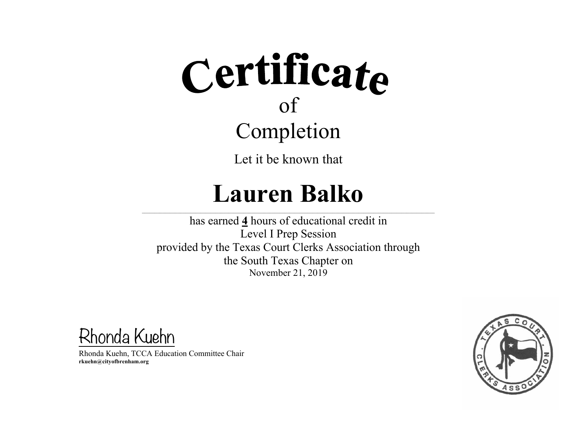Let it be known that

#### **Lauren Balko**

 $\mathcal{L} = \{ \mathcal{L} = \{ \mathcal{L} = \{ \mathcal{L} = \{ \mathcal{L} = \{ \mathcal{L} = \{ \mathcal{L} = \{ \mathcal{L} = \{ \mathcal{L} = \{ \mathcal{L} = \{ \mathcal{L} = \{ \mathcal{L} = \{ \mathcal{L} = \{ \mathcal{L} = \{ \mathcal{L} = \{ \mathcal{L} = \{ \mathcal{L} = \{ \mathcal{L} = \{ \mathcal{L} = \{ \mathcal{L} = \{ \mathcal{L} = \{ \mathcal{L} = \{ \mathcal{L} = \{ \mathcal{L} = \{ \mathcal{$ 

has earned **4** hours of educational credit in Level I Prep Session provided by the Texas Court Clerks Association through the South Texas Chapter on November 21, 2019

Rhonda Kuehn

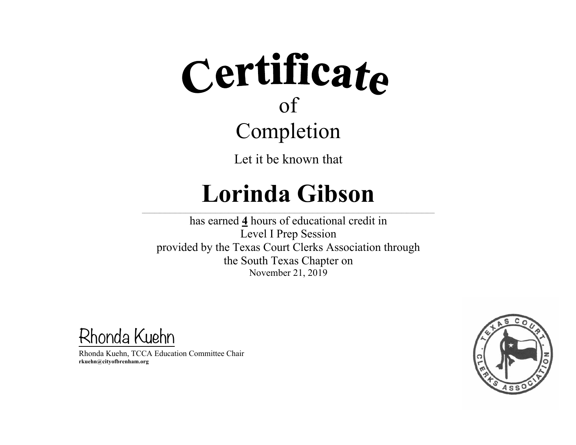Let it be known that

## **Lorinda Gibson**

 $\mathcal{L} = \{ \mathcal{L} = \{ \mathcal{L} = \{ \mathcal{L} = \{ \mathcal{L} = \{ \mathcal{L} = \{ \mathcal{L} = \{ \mathcal{L} = \{ \mathcal{L} = \{ \mathcal{L} = \{ \mathcal{L} = \{ \mathcal{L} = \{ \mathcal{L} = \{ \mathcal{L} = \{ \mathcal{L} = \{ \mathcal{L} = \{ \mathcal{L} = \{ \mathcal{L} = \{ \mathcal{L} = \{ \mathcal{L} = \{ \mathcal{L} = \{ \mathcal{L} = \{ \mathcal{L} = \{ \mathcal{L} = \{ \mathcal{$ 

has earned **4** hours of educational credit in Level I Prep Session provided by the Texas Court Clerks Association through the South Texas Chapter on November 21, 2019

Rhonda Kuehn

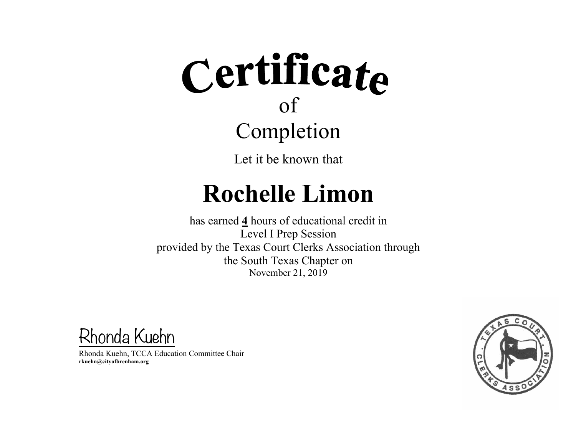Let it be known that

### **Rochelle Limon**

 $\mathcal{L} = \{ \mathcal{L} = \{ \mathcal{L} = \{ \mathcal{L} = \{ \mathcal{L} = \{ \mathcal{L} = \{ \mathcal{L} = \{ \mathcal{L} = \{ \mathcal{L} = \{ \mathcal{L} = \{ \mathcal{L} = \{ \mathcal{L} = \{ \mathcal{L} = \{ \mathcal{L} = \{ \mathcal{L} = \{ \mathcal{L} = \{ \mathcal{L} = \{ \mathcal{L} = \{ \mathcal{L} = \{ \mathcal{L} = \{ \mathcal{L} = \{ \mathcal{L} = \{ \mathcal{L} = \{ \mathcal{L} = \{ \mathcal{$ 

has earned **4** hours of educational credit in Level I Prep Session provided by the Texas Court Clerks Association through the South Texas Chapter on November 21, 2019

Rhonda Kuehn

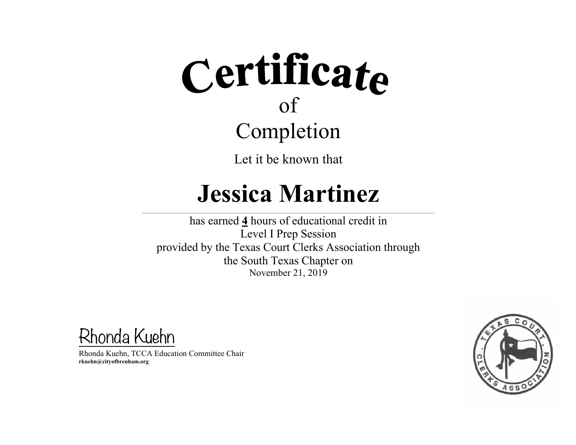Let it be known that

#### **Jessica Martinez**

 $\mathcal{L} = \{ \mathcal{L} = \{ \mathcal{L} = \{ \mathcal{L} = \{ \mathcal{L} = \{ \mathcal{L} = \{ \mathcal{L} = \{ \mathcal{L} = \{ \mathcal{L} = \{ \mathcal{L} = \{ \mathcal{L} = \{ \mathcal{L} = \{ \mathcal{L} = \{ \mathcal{L} = \{ \mathcal{L} = \{ \mathcal{L} = \{ \mathcal{L} = \{ \mathcal{L} = \{ \mathcal{L} = \{ \mathcal{L} = \{ \mathcal{L} = \{ \mathcal{L} = \{ \mathcal{L} = \{ \mathcal{L} = \{ \mathcal{$ 

has earned **4** hours of educational credit in Level I Prep Session provided by the Texas Court Clerks Association through the South Texas Chapter on November 21, 2019

Rhonda Kuehn

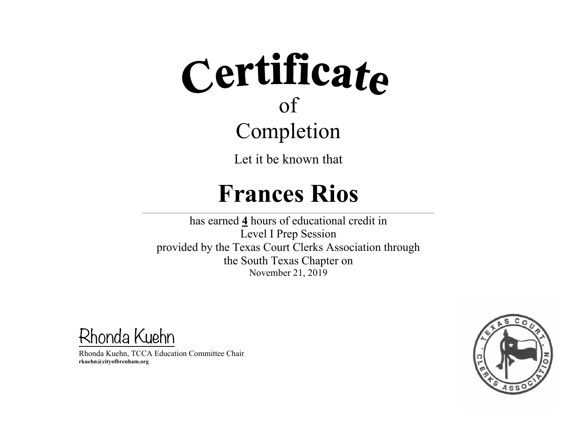Let it be known that

#### **Frances Rios**

 $\mathcal{L} = \{ \mathcal{L} = \{ \mathcal{L} = \{ \mathcal{L} = \{ \mathcal{L} = \{ \mathcal{L} = \{ \mathcal{L} = \{ \mathcal{L} = \{ \mathcal{L} = \{ \mathcal{L} = \{ \mathcal{L} = \{ \mathcal{L} = \{ \mathcal{L} = \{ \mathcal{L} = \{ \mathcal{L} = \{ \mathcal{L} = \{ \mathcal{L} = \{ \mathcal{L} = \{ \mathcal{L} = \{ \mathcal{L} = \{ \mathcal{L} = \{ \mathcal{L} = \{ \mathcal{L} = \{ \mathcal{L} = \{ \mathcal{$ 

has earned **4** hours of educational credit in Level I Prep Session provided by the Texas Court Clerks Association through the South Texas Chapter on November 21, 2019

Rhonda Kuehn

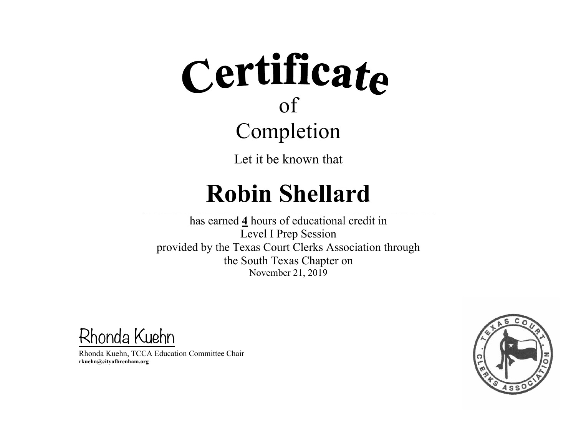Let it be known that

## **Robin Shellard**

 $\mathcal{L} = \{ \mathcal{L} = \{ \mathcal{L} = \{ \mathcal{L} = \{ \mathcal{L} = \{ \mathcal{L} = \{ \mathcal{L} = \{ \mathcal{L} = \{ \mathcal{L} = \{ \mathcal{L} = \{ \mathcal{L} = \{ \mathcal{L} = \{ \mathcal{L} = \{ \mathcal{L} = \{ \mathcal{L} = \{ \mathcal{L} = \{ \mathcal{L} = \{ \mathcal{L} = \{ \mathcal{L} = \{ \mathcal{L} = \{ \mathcal{L} = \{ \mathcal{L} = \{ \mathcal{L} = \{ \mathcal{L} = \{ \mathcal{$ 

has earned **4** hours of educational credit in Level I Prep Session provided by the Texas Court Clerks Association through the South Texas Chapter on November 21, 2019

Rhonda Kuehn